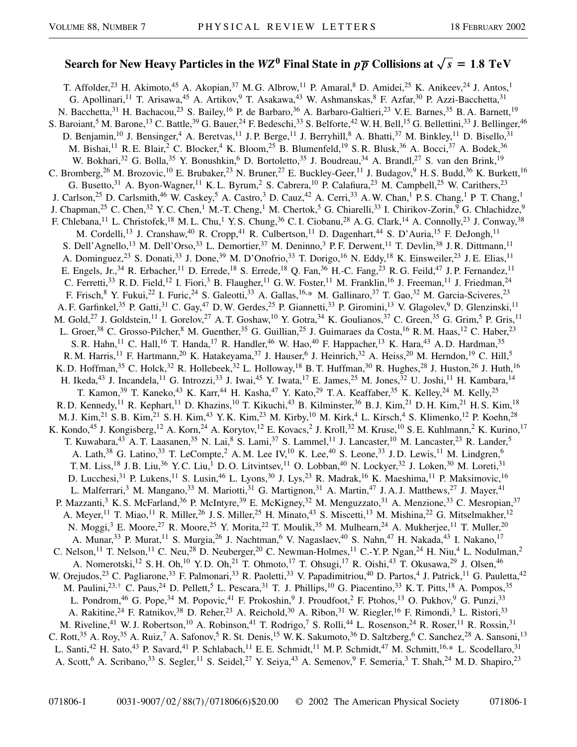## Search for New Heavy Particles in the  $WZ^0$  Final State in  $p\overline{p}$  Collisions at  $\sqrt{s} = 1.8$  TeV

T. Affolder,<sup>23</sup> H. Akimoto,<sup>45</sup> A. Akopian,<sup>37</sup> M. G. Albrow,<sup>11</sup> P. Amaral,<sup>8</sup> D. Amidei,<sup>25</sup> K. Anikeev,<sup>24</sup> J. Antos,<sup>1</sup> G. Apollinari,<sup>11</sup> T. Arisawa,<sup>45</sup> A. Artikov,<sup>9</sup> T. Asakawa,<sup>43</sup> W. Ashmanskas,<sup>8</sup> F. Azfar,<sup>30</sup> P. Azzi-Bacchetta,<sup>31</sup> N. Bacchetta,<sup>31</sup> H. Bachacou,<sup>23</sup> S. Bailey,<sup>16</sup> P. de Barbaro,<sup>36</sup> A. Barbaro-Galtieri,<sup>23</sup> V.E. Barnes,<sup>35</sup> B.A. Barnett,<sup>19</sup> S. Baroiant,<sup>5</sup> M. Barone,<sup>13</sup> C. Battle,<sup>39</sup> G. Bauer,<sup>24</sup> F. Bedeschi,<sup>33</sup> S. Belforte,<sup>42</sup> W. H. Bell,<sup>15</sup> G. Bellettini,<sup>33</sup> J. Bellinger,<sup>46</sup> D. Benjamin,<sup>10</sup> J. Bensinger,<sup>4</sup> A. Beretvas,<sup>11</sup> J. P. Berge,<sup>11</sup> J. Berryhill,<sup>8</sup> A. Bhatti,<sup>37</sup> M. Binkley,<sup>11</sup> D. Bisello,<sup>31</sup> M. Bishai,<sup>11</sup> R. E. Blair,<sup>2</sup> C. Blocker,<sup>4</sup> K. Bloom,<sup>25</sup> B. Blumenfeld,<sup>19</sup> S. R. Blusk,<sup>36</sup> A. Bocci,<sup>37</sup> A. Bodek,<sup>36</sup> W. Bokhari,<sup>32</sup> G. Bolla,<sup>35</sup> Y. Bonushkin,<sup>6</sup> D. Bortoletto,<sup>35</sup> J. Boudreau,<sup>34</sup> A. Brandl,<sup>27</sup> S. van den Brink,<sup>19</sup> C. Bromberg,<sup>26</sup> M. Brozovic,<sup>10</sup> E. Brubaker,<sup>23</sup> N. Bruner,<sup>27</sup> E. Buckley-Geer,<sup>11</sup> J. Budagov,<sup>9</sup> H. S. Budd,<sup>36</sup> K. Burkett,<sup>16</sup> G. Busetto,<sup>31</sup> A. Byon-Wagner,<sup>11</sup> K. L. Byrum,<sup>2</sup> S. Cabrera,<sup>10</sup> P. Calafiura,<sup>23</sup> M. Campbell,<sup>25</sup> W. Carithers,<sup>23</sup> J. Carlson,<sup>25</sup> D. Carlsmith,<sup>46</sup> W. Caskey,<sup>5</sup> A. Castro,<sup>3</sup> D. Cauz,<sup>42</sup> A. Cerri,<sup>33</sup> A. W. Chan,<sup>1</sup> P. S. Chang,<sup>1</sup> P T. Chang,<sup>1</sup> J. Chapman,<sup>25</sup> C. Chen,<sup>32</sup> Y. C. Chen,<sup>1</sup> M.-T. Cheng,<sup>1</sup> M. Chertok,<sup>5</sup> G. Chiarelli,<sup>33</sup> I. Chirikov-Zorin,<sup>9</sup> G. Chlachidze,<sup>9</sup> F. Chlebana,<sup>11</sup> L. Christofek,<sup>18</sup> M. L. Chu,<sup>1</sup> Y. S. Chung,<sup>36</sup> C. I. Ciobanu,<sup>28</sup> A. G. Clark,<sup>14</sup> A. Connolly,<sup>23</sup> J. Conway,<sup>38</sup> M. Cordelli,<sup>13</sup> J. Cranshaw,<sup>40</sup> R. Cropp,<sup>41</sup> R. Culbertson,<sup>11</sup> D. Dagenhart,<sup>44</sup> S. D'Auria,<sup>15</sup> F. DeJongh,<sup>11</sup> S. Dell'Agnello,<sup>13</sup> M. Dell'Orso,<sup>33</sup> L. Demortier,<sup>37</sup> M. Deninno,<sup>3</sup> P. F. Derwent,<sup>11</sup> T. Devlin,<sup>38</sup> J. R. Dittmann,<sup>11</sup> A. Dominguez,<sup>23</sup> S. Donati,<sup>33</sup> J. Done,<sup>39</sup> M. D'Onofrio,<sup>33</sup> T. Dorigo,<sup>16</sup> N. Eddy,<sup>18</sup> K. Einsweiler,<sup>23</sup> J. E. Elias,<sup>11</sup> E. Engels, Jr.,<sup>34</sup> R. Erbacher,<sup>11</sup> D. Errede,<sup>18</sup> S. Errede,<sup>18</sup> Q. Fan,<sup>36</sup> H.-C. Fang,<sup>23</sup> R. G. Feild,<sup>47</sup> J. P. Fernandez,<sup>11</sup> C. Ferretti,<sup>33</sup> R. D. Field,<sup>12</sup> I. Fiori,<sup>3</sup> B. Flaugher,<sup>11</sup> G. W. Foster,<sup>11</sup> M. Franklin,<sup>16</sup> J. Freeman,<sup>11</sup> J. Friedman,<sup>24</sup> F. Frisch,<sup>8</sup> Y. Fukui,<sup>22</sup> I. Furic,<sup>24</sup> S. Galeotti,<sup>33</sup> A. Gallas,<sup>16,\*</sup> M. Gallinaro,<sup>37</sup> T. Gao,<sup>32</sup> M. Garcia-Sciveres,<sup>23</sup> A. F. Garfinkel,<sup>35</sup> P. Gatti,<sup>31</sup> C. Gay,<sup>47</sup> D. W. Gerdes,<sup>25</sup> P. Giannetti,<sup>33</sup> P. Giromini,<sup>13</sup> V. Glagolev,<sup>9</sup> D. Glenzinski,<sup>11</sup> M. Gold,<sup>27</sup> J. Goldstein,<sup>11</sup> I. Gorelov,<sup>27</sup> A. T. Goshaw,<sup>10</sup> Y. Gotra,<sup>34</sup> K. Goulianos,<sup>37</sup> C. Green,<sup>35</sup> G. Grim,<sup>5</sup> P. Gris,<sup>11</sup> L. Groer,<sup>38</sup> C. Grosso-Pilcher,<sup>8</sup> M. Guenther,<sup>35</sup> G. Guillian,<sup>25</sup> J. Guimaraes da Costa,<sup>16</sup> R. M. Haas,<sup>12</sup> C. Haber,<sup>23</sup> S. R. Hahn, <sup>11</sup> C. Hall, <sup>16</sup> T. Handa, <sup>17</sup> R. Handler, <sup>46</sup> W. Hao, <sup>40</sup> F. Happacher, <sup>13</sup> K. Hara, <sup>43</sup> A. D. Hardman, <sup>35</sup> R. M. Harris,<sup>11</sup> F. Hartmann,<sup>20</sup> K. Hatakeyama,<sup>37</sup> J. Hauser,<sup>6</sup> J. Heinrich,<sup>32</sup> A. Heiss,<sup>20</sup> M. Herndon,<sup>19</sup> C. Hill,<sup>5</sup> K. D. Hoffman,<sup>35</sup> C. Holck,<sup>32</sup> R. Hollebeek,<sup>32</sup> L. Holloway,<sup>18</sup> B. T. Huffman,<sup>30</sup> R. Hughes,<sup>28</sup> J. Huston,<sup>26</sup> J. Huth,<sup>16</sup> H. Ikeda,<sup>43</sup> J. Incandela,<sup>11</sup> G. Introzzi,<sup>33</sup> J. Iwai,<sup>45</sup> Y. Iwata,<sup>17</sup> E. James,<sup>25</sup> M. Jones,<sup>32</sup> U. Joshi,<sup>11</sup> H. Kambara,<sup>14</sup> T. Kamon,<sup>39</sup> T. Kaneko,<sup>43</sup> K. Karr,<sup>44</sup> H. Kasha,<sup>47</sup> Y. Kato,<sup>29</sup> T. A. Keaffaber,<sup>35</sup> K. Kelley,<sup>24</sup> M. Kelly,<sup>25</sup> R. D. Kennedy,<sup>11</sup> R. Kephart,<sup>11</sup> D. Khazins,<sup>10</sup> T. Kikuchi,<sup>43</sup> B. Kilminster,<sup>36</sup> B. J. Kim,<sup>21</sup> D. H. Kim,<sup>21</sup> H. S. Kim,<sup>18</sup> M. J. Kim,<sup>21</sup> S. B. Kim,<sup>21</sup> S. H. Kim,<sup>43</sup> Y. K. Kim,<sup>23</sup> M. Kirby,<sup>10</sup> M. Kirk,<sup>4</sup> L. Kirsch,<sup>4</sup> S. Klimenko,<sup>12</sup> P. Koehn,<sup>28</sup> K. Kondo,<sup>45</sup> J. Kongisberg,<sup>12</sup> A. Korn,<sup>24</sup> A. Korytov,<sup>12</sup> E. Kovacs,<sup>2</sup> J. Kroll,<sup>32</sup> M. Kruse,<sup>10</sup> S. E. Kuhlmann,<sup>2</sup> K. Kurino,<sup>17</sup> T. Kuwabara,<sup>43</sup> A. T. Laasanen,<sup>35</sup> N. Lai,<sup>8</sup> S. Lami,<sup>37</sup> S. Lammel,<sup>11</sup> J. Lancaster,<sup>10</sup> M. Lancaster,<sup>23</sup> R. Lander,<sup>5</sup> A. Lath,<sup>38</sup> G. Latino,<sup>33</sup> T. LeCompte,<sup>2</sup> A. M. Lee IV,<sup>10</sup> K. Lee,<sup>40</sup> S. Leone,<sup>33</sup> J.D. Lewis,<sup>11</sup> M. Lindgren,<sup>6</sup> T. M. Liss,<sup>18</sup> J. B. Liu,<sup>36</sup> Y. C. Liu,<sup>1</sup> D. O. Litvintsev,<sup>11</sup> O. Lobban,<sup>40</sup> N. Lockyer,<sup>32</sup> J. Loken,<sup>30</sup> M. Loreti,<sup>31</sup> D. Lucchesi,<sup>31</sup> P. Lukens,<sup>11</sup> S. Lusin,<sup>46</sup> L. Lyons,<sup>30</sup> J. Lys,<sup>23</sup> R. Madrak,<sup>16</sup> K. Maeshima,<sup>11</sup> P. Maksimovic,<sup>16</sup> L. Malferrari,<sup>3</sup> M. Mangano,<sup>33</sup> M. Mariotti,<sup>31</sup> G. Martignon,<sup>31</sup> A. Martin,<sup>47</sup> J. A. J. Matthews,<sup>27</sup> J. Mayer,<sup>41</sup> P. Mazzanti,<sup>3</sup> K. S. McFarland,<sup>36</sup> P. McIntyre,<sup>39</sup> E. McKigney,<sup>32</sup> M. Menguzzato,<sup>31</sup> A. Menzione,<sup>33</sup> C. Mesropian,<sup>37</sup> A. Meyer,<sup>11</sup> T. Miao,<sup>11</sup> R. Miller,<sup>26</sup> J. S. Miller,<sup>25</sup> H. Minato,<sup>43</sup> S. Miscetti,<sup>13</sup> M. Mishina,<sup>22</sup> G. Mitselmakher,<sup>12</sup> N. Moggi,<sup>3</sup> E. Moore,<sup>27</sup> R. Moore,<sup>25</sup> Y. Morita,<sup>22</sup> T. Moulik,<sup>35</sup> M. Mulhearn,<sup>24</sup> A. Mukherjee,<sup>11</sup> T. Muller,<sup>20</sup> A. Munar,<sup>33</sup> P. Murat,<sup>11</sup> S. Murgia,<sup>26</sup> J. Nachtman,<sup>6</sup> V. Nagaslaev,<sup>40</sup> S. Nahn,<sup>47</sup> H. Nakada,<sup>43</sup> I. Nakano,<sup>17</sup> C. Nelson,<sup>11</sup> T. Nelson,<sup>11</sup> C. Neu,<sup>28</sup> D. Neuberger,<sup>20</sup> C. Newman-Holmes,<sup>11</sup> C.-Y.P. Ngan,<sup>24</sup> H. Niu,<sup>4</sup> L. Nodulman,<sup>2</sup> A. Nomerotski,<sup>12</sup> S.H. Oh,<sup>10</sup> Y.D. Oh,<sup>21</sup> T. Ohmoto,<sup>17</sup> T. Ohsugi,<sup>17</sup> R. Oishi,<sup>43</sup> T. Okusawa,<sup>29</sup> J. Olsen,<sup>46</sup> W. Orejudos,<sup>23</sup> C. Pagliarone,<sup>33</sup> F. Palmonari,<sup>33</sup> R. Paoletti,<sup>33</sup> V. Papadimitriou,<sup>40</sup> D. Partos,<sup>4</sup> J. Patrick,<sup>11</sup> G. Pauletta,<sup>42</sup> M. Paulini,<sup>23,†</sup> C. Paus,<sup>24</sup> D. Pellett,<sup>5</sup> L. Pescara,<sup>31</sup> T. J. Phillips,<sup>10</sup> G. Piacentino,<sup>33</sup> K. T. Pitts,<sup>18</sup> A. Pompos,<sup>35</sup> L. Pondrom,<sup>46</sup> G. Pope,<sup>34</sup> M. Popovic,<sup>41</sup> F. Prokoshin,<sup>9</sup> J. Proudfoot,<sup>2</sup> F. Ptohos,<sup>13</sup> O. Pukhov,<sup>9</sup> G. Punzi,<sup>33</sup> A. Rakitine,<sup>24</sup> F. Ratnikov,<sup>38</sup> D. Reher,<sup>23</sup> A. Reichold,<sup>30</sup> A. Ribon,<sup>31</sup> W. Riegler,<sup>16</sup> F. Rimondi,<sup>3</sup> L. Ristori,<sup>33</sup> M. Riveline,<sup>41</sup> W. J. Robertson,<sup>10</sup> A. Robinson,<sup>41</sup> T. Rodrigo,<sup>7</sup> S. Rolli,<sup>44</sup> L. Rosenson,<sup>24</sup> R. Roser,<sup>11</sup> R. Rossin,<sup>31</sup> M. Rossin,<sup>31</sup> C. Rott,<sup>35</sup> A. Roy,<sup>35</sup> A. Ruiz,<sup>7</sup> A. Safonov,<sup>5</sup> R. St. Denis,<sup>15</sup> W. K. Sakumoto,<sup>36</sup> D. Saltzberg,<sup>6</sup> C. Sanchez,<sup>28</sup> A. Sansoni,<sup>13</sup> L. Santi,<sup>42</sup> H. Sato,<sup>43</sup> P. Savard,<sup>41</sup> P. Schlabach,<sup>11</sup> E. E. Schmidt,<sup>11</sup> M. P. Schmidt,<sup>47</sup> M. Schmitt,<sup>16,\*</sup> L. Scodellaro,<sup>31</sup> A. Scott,<sup>6</sup> A. Scribano,<sup>33</sup> S. Segler,<sup>11</sup> S. Seidel,<sup>27</sup> Y. Seiya,<sup>43</sup> A. Semenov,<sup>9</sup> F. Semeria,<sup>3</sup> T. Shah,<sup>24</sup> M. D. Shapiro,<sup>23</sup>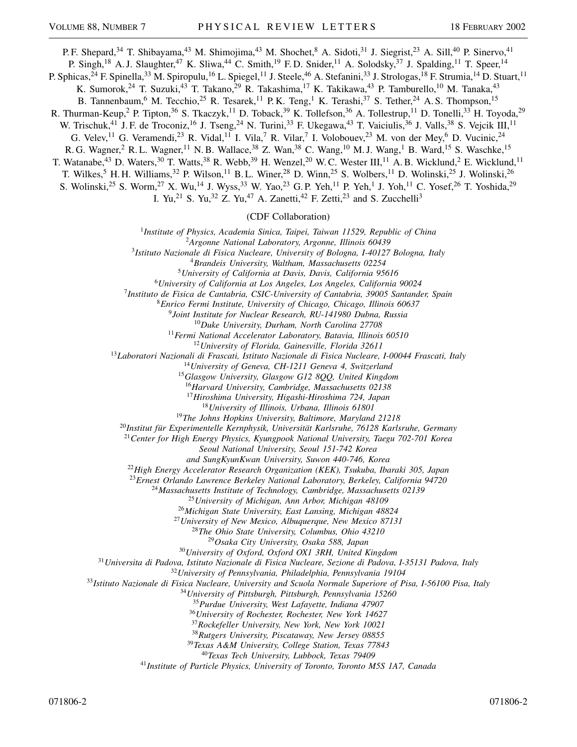P. F. Shepard,<sup>34</sup> T. Shibayama,<sup>43</sup> M. Shimojima,<sup>43</sup> M. Shochet,<sup>8</sup> A. Sidoti,<sup>31</sup> J. Siegrist,<sup>23</sup> A. Sill,<sup>40</sup> P. Sinervo,<sup>41</sup> P. Singh,<sup>18</sup> A. J. Slaughter,<sup>47</sup> K. Sliwa,<sup>44</sup> C. Smith,<sup>19</sup> F. D. Snider,<sup>11</sup> A. Solodsky,<sup>37</sup> J. Spalding,<sup>11</sup> T. Speer,<sup>14</sup> P. Sphicas,<sup>24</sup> F. Spinella,<sup>33</sup> M. Spiropulu,<sup>16</sup> L. Spiegel,<sup>11</sup> J. Steele,<sup>46</sup> A. Stefanini,<sup>33</sup> J. Strologas,<sup>18</sup> F. Strumia,<sup>14</sup> D. Stuart,<sup>11</sup> K. Sumorok,<sup>24</sup> T. Suzuki,<sup>43</sup> T. Takano,<sup>29</sup> R. Takashima,<sup>17</sup> K. Takikawa,<sup>43</sup> P. Tamburello,<sup>10</sup> M. Tanaka,<sup>43</sup> B. Tannenbaum, <sup>6</sup> M. Tecchio, <sup>25</sup> R. Tesarek, <sup>11</sup> P.K. Teng, <sup>1</sup> K. Terashi, <sup>37</sup> S. Tether, <sup>24</sup> A. S. Thompson, <sup>15</sup> R. Thurman-Keup,<sup>2</sup> P. Tipton,<sup>36</sup> S. Tkaczyk,<sup>11</sup> D. Toback,<sup>39</sup> K. Tollefson,<sup>36</sup> A. Tollestrup,<sup>11</sup> D. Tonelli,<sup>33</sup> H. Toyoda,<sup>29</sup> W. Trischuk,<sup>41</sup> J. F. de Troconiz,<sup>16</sup> J. Tseng,<sup>24</sup> N. Turini,<sup>33</sup> F. Ukegawa,<sup>43</sup> T. Vaiciulis,<sup>36</sup> J. Valls,<sup>38</sup> S. Vejcik III,<sup>11</sup> G. Velev,<sup>11</sup> G. Veramendi,<sup>23</sup> R. Vidal,<sup>11</sup> I. Vila,<sup>7</sup> R. Vilar,<sup>7</sup> I. Volobouev,<sup>23</sup> M. von der Mey,<sup>6</sup> D. Vucinic,<sup>24</sup>

R. G. Wagner,<sup>2</sup> R. L. Wagner,<sup>11</sup> N. B. Wallace,<sup>38</sup> Z. Wan,<sup>38</sup> C. Wang,<sup>10</sup> M. J. Wang,<sup>1</sup> B. Ward,<sup>15</sup> S. Waschke,<sup>15</sup> T. Watanabe,<sup>43</sup> D. Waters,<sup>30</sup> T. Watts,<sup>38</sup> R. Webb,<sup>39</sup> H. Wenzel,<sup>20</sup> W. C. Wester III,<sup>11</sup> A. B. Wicklund,<sup>2</sup> E. Wicklund,<sup>11</sup>

T. Wilkes,<sup>5</sup> H. H. Williams,<sup>32</sup> P. Wilson,<sup>11</sup> B. L. Winer,<sup>28</sup> D. Winn,<sup>25</sup> S. Wolbers,<sup>11</sup> D. Wolinski,<sup>25</sup> J. Wolinski,<sup>26</sup>

S. Wolinski,<sup>25</sup> S. Worm,<sup>27</sup> X. Wu,<sup>14</sup> J. Wyss,<sup>33</sup> W. Yao,<sup>23</sup> G.P. Yeh,<sup>11</sup> P. Yeh,<sup>1</sup> J. Yoh,<sup>11</sup> C. Yosef,<sup>26</sup> T. Yoshida,<sup>29</sup>

I. Yu,<sup>21</sup> S. Yu,<sup>32</sup> Z. Yu,<sup>47</sup> A. Zanetti,<sup>42</sup> F. Zetti,<sup>23</sup> and S. Zucchelli<sup>3</sup>

(CDF Collaboration)

*Institute of Physics, Academia Sinica, Taipei, Taiwan 11529, Republic of China*

*Argonne National Laboratory, Argonne, Illinois 60439*

*Istituto Nazionale di Fisica Nucleare, University of Bologna, I-40127 Bologna, Italy*

*Brandeis University, Waltham, Massachusetts 02254*

*University of California at Davis, Davis, California 95616*

*University of California at Los Angeles, Los Angeles, California 90024*

*Instituto de Fisica de Cantabria, CSIC-University of Cantabria, 39005 Santander, Spain*

*Enrico Fermi Institute, University of Chicago, Chicago, Illinois 60637*

*Joint Institute for Nuclear Research, RU-141980 Dubna, Russia*

*Duke University, Durham, North Carolina 27708*

*Fermi National Accelerator Laboratory, Batavia, Illinois 60510*

*University of Florida, Gainesville, Florida 32611*

*Laboratori Nazionali di Frascati, Istituto Nazionale di Fisica Nucleare, I-00044 Frascati, Italy*

*University of Geneva, CH-1211 Geneva 4, Switzerland*

*Glasgow University, Glasgow G12 8QQ, United Kingdom*

*Harvard University, Cambridge, Massachusetts 02138*

*Hiroshima University, Higashi-Hiroshima 724, Japan*

*University of Illinois, Urbana, Illinois 61801*

*The Johns Hopkins University, Baltimore, Maryland 21218*

*Institut für Experimentelle Kernphysik, Universität Karlsruhe, 76128 Karlsruhe, Germany*

*Center for High Energy Physics, Kyungpook National University, Taegu 702-701 Korea*

*Seoul National University, Seoul 151-742 Korea*

*and SungKyunKwan University, Suwon 440-746, Korea*

*High Energy Accelerator Research Organization (KEK), Tsukuba, Ibaraki 305, Japan*

*Ernest Orlando Lawrence Berkeley National Laboratory, Berkeley, California 94720*

*Massachusetts Institute of Technology, Cambridge, Massachusetts 02139*

*University of Michigan, Ann Arbor, Michigan 48109*

*Michigan State University, East Lansing, Michigan 48824*

*University of New Mexico, Albuquerque, New Mexico 87131*

*The Ohio State University, Columbus, Ohio 43210*

*Osaka City University, Osaka 588, Japan*

*University of Oxford, Oxford OX1 3RH, United Kingdom*

*Universita di Padova, Istituto Nazionale di Fisica Nucleare, Sezione di Padova, I-35131 Padova, Italy*

*University of Pennsylvania, Philadelphia, Pennsylvania 19104*

*Istituto Nazionale di Fisica Nucleare, University and Scuola Normale Superiore of Pisa, I-56100 Pisa, Italy*

*University of Pittsburgh, Pittsburgh, Pennsylvania 15260*

*Purdue University, West Lafayette, Indiana 47907*

*University of Rochester, Rochester, New York 14627*

*Rockefeller University, New York, New York 10021*

*Rutgers University, Piscataway, New Jersey 08855*

*Texas A&M University, College Station, Texas 77843*

*Texas Tech University, Lubbock, Texas 79409*

*Institute of Particle Physics, University of Toronto, Toronto M5S 1A7, Canada*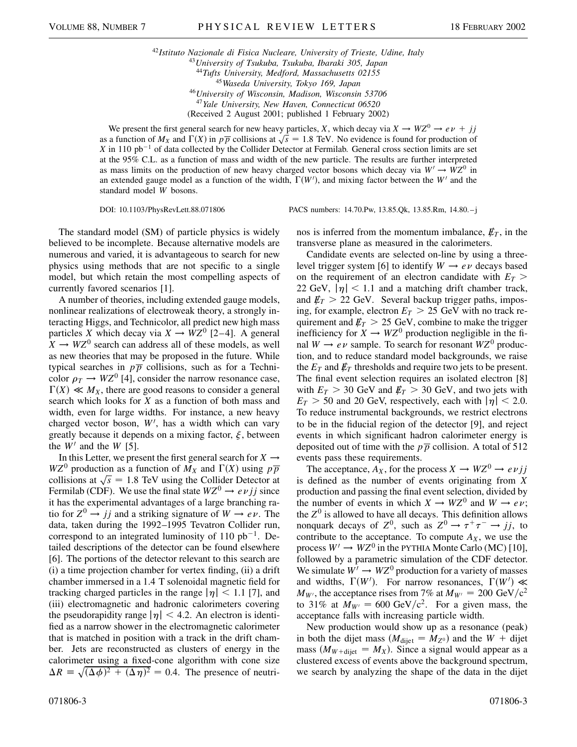*Istituto Nazionale di Fisica Nucleare, University of Trieste, Udine, Italy University of Tsukuba, Tsukuba, Ibaraki 305, Japan Tufts University, Medford, Massachusetts 02155 Waseda University, Tokyo 169, Japan University of Wisconsin, Madison, Wisconsin 53706 Yale University, New Haven, Connecticut 06520* (Received 2 August 2001; published 1 February 2002)

We present the first general search for new heavy particles, *X*, which decay via  $X \to WZ^0 \to e\nu + jj$ we present the first general search for hew heavy particles,  $\lambda$ , which decay via  $\lambda \to W\lambda^* \to e\nu + f f$  as a function of  $M_X$  and  $\Gamma(X)$  in  $p\overline{p}$  collisions at  $\sqrt{s} = 1.8$  TeV. No evidence is found for production of *X* in 110 pb<sup> $-1$ </sup> of data collected by the Collider Detector at Fermilab. General cross section limits are set at the 95% C.L. as a function of mass and width of the new particle. The results are further interpreted as mass limits on the production of new heavy charged vector bosons which decay via  $W' \rightarrow WZ^0$  in an extended gauge model as a function of the width,  $\Gamma(W')$ , and mixing factor between the W<sup>t</sup> and the standard model *W* bosons.

DOI: 10.1103/PhysRevLett.88.071806 PACS numbers: 14.70.Pw, 13.85.Qk, 13.85.Rm, 14.80.–j

The standard model (SM) of particle physics is widely believed to be incomplete. Because alternative models are numerous and varied, it is advantageous to search for new physics using methods that are not specific to a single model, but which retain the most compelling aspects of currently favored scenarios [1].

A number of theories, including extended gauge models, nonlinear realizations of electroweak theory, a strongly interacting Higgs, and Technicolor, all predict new high mass particles *X* which decay via  $X \rightarrow WZ^0$  [2–4]. A general  $X \rightarrow WZ^0$  search can address all of these models, as well as new theories that may be proposed in the future. While typical searches in  $p\overline{p}$  collisions, such as for a Technicolor  $\rho_T \rightarrow WZ^0$  [4], consider the narrow resonance case,  $\Gamma(X) \ll M_X$ , there are good reasons to consider a general search which looks for *X* as a function of both mass and width, even for large widths. For instance, a new heavy charged vector boson,  $W'$ , has a width which can vary greatly because it depends on a mixing factor,  $\xi$ , between the  $W'$  and the  $W$  [5].

In this Letter, we present the first general search for  $X \rightarrow$  $WZ^0$  production as a function of  $M_X$  and  $\Gamma(X)$  using  $p\overline{p}$  $WZ^{\circ}$  production as a function of  $M_X$  and  $I(X)$  using p p collisions at  $\sqrt{s} = 1.8$  TeV using the Collider Detector at Fermilab (CDF). We use the final state  $WZ^0 \rightarrow e\nu j j$  since it has the experimental advantages of a large branching ratio for  $Z^0 \rightarrow jj$  and a striking signature of  $W \rightarrow e \nu$ . The data, taken during the 1992–1995 Tevatron Collider run, correspond to an integrated luminosity of  $110$  pb<sup>-1</sup>. Detailed descriptions of the detector can be found elsewhere [6]. The portions of the detector relevant to this search are (i) a time projection chamber for vertex finding, (ii) a drift chamber immersed in a 1.4 T solenoidal magnetic field for tracking charged particles in the range  $|\eta| < 1.1$  [7], and (iii) electromagnetic and hadronic calorimeters covering the pseudorapidity range  $|\eta| < 4.2$ . An electron is identified as a narrow shower in the electromagnetic calorimeter that is matched in position with a track in the drift chamber. Jets are reconstructed as clusters of energy in the calorimeter using a fixed-cone algorithm with cone size  $\Delta R = \sqrt{(\Delta \phi)^2 + (\Delta \eta)^2} = 0.4$ . The presence of neutri-

071806-3 071806-3

nos is inferred from the momentum imbalance,  $\not\!\!E_T$ , in the transverse plane as measured in the calorimeters.

Candidate events are selected on-line by using a threelevel trigger system [6] to identify  $W \rightarrow e \nu$  decays based on the requirement of an electron candidate with  $E_T$ 22 GeV,  $|\eta|$  < 1.1 and a matching drift chamber track, and  $E_T > 22$  GeV. Several backup trigger paths, imposing, for example, electron  $E_T > 25$  GeV with no track requirement and  $E_T > 25$  GeV, combine to make the trigger inefficiency for  $X \to WZ^0$  production negligible in the final  $W \rightarrow e \nu$  sample. To search for resonant  $WZ^0$  production, and to reduce standard model backgrounds, we raise the  $E_T$  and  $E_T$  thresholds and require two jets to be present. The final event selection requires an isolated electron [8] with  $E_T > 30$  GeV and  $E_T > 30$  GeV, and two jets with  $E_T > 50$  and 20 GeV, respectively, each with  $|\eta| < 2.0$ . To reduce instrumental backgrounds, we restrict electrons to be in the fiducial region of the detector [9], and reject events in which significant hadron calorimeter energy is deposited out of time with the  $p\overline{p}$  collision. A total of 512 events pass these requirements.

The acceptance,  $A_X$ , for the process  $X \to WZ^0 \to e\nu j j$ is defined as the number of events originating from *X* production and passing the final event selection, divided by the number of events in which  $X \to WZ^0$  and  $W \to e\nu$ ; the  $Z<sup>0</sup>$  is allowed to have all decays. This definition allows nonquark decays of  $Z^0$ , such as  $Z^0 \rightarrow \tau^+ \tau^- \rightarrow jj$ , to contribute to the acceptance. To compute  $A_X$ , we use the process  $W' \to WZ^0$  in the PYTHIA Monte Carlo (MC) [10], followed by a parametric simulation of the CDF detector. We simulate  $W' \to WZ^0$  production for a variety of masses and widths,  $\Gamma(W')$ . For narrow resonances,  $\Gamma(W') \ll$  $M_{W}$ , the acceptance rises from 7% at  $M_{W} = 200 \text{ GeV}/c^2$ to 31% at  $M_{W} = 600 \text{ GeV}/c^2$ . For a given mass, the acceptance falls with increasing particle width.

New production would show up as a resonance (peak) in both the dijet mass  $(M_{\text{dijet}} = M_{Z^0})$  and the  $W + \text{dijet}$ mass  $(M_{W+\text{dijet}} = M_X)$ . Since a signal would appear as a clustered excess of events above the background spectrum, we search by analyzing the shape of the data in the dijet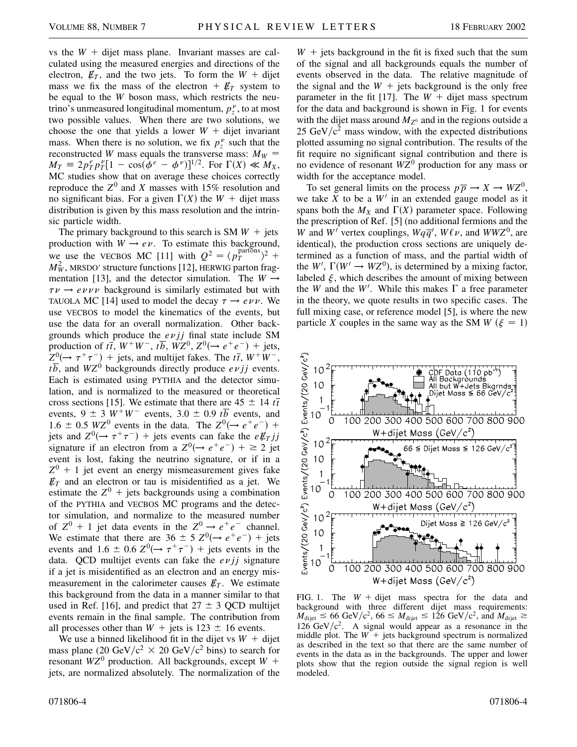vs the  $W +$  dijet mass plane. Invariant masses are calculated using the measured energies and directions of the electron,  $\not{E}_T$ , and the two jets. To form the  $W +$  dijet mass we fix the mass of the electron  $+$   $E_T$  system to be equal to the *W* boson mass, which restricts the neutrino's unmeasured longitudinal momentum,  $p_z^{\nu}$ , to at most two possible values. When there are two solutions, we choose the one that yields a lower  $W +$  dijet invariant mass. When there is no solution, we fix  $p_z^{\nu}$  such that the reconstructed *W* mass equals the transverse mass:  $M_W =$  $M_T = 2p_T^e p_T^v [1 - \cos(\dot{\phi}^e - \phi^v)]^{1/2}$ . For  $\Gamma(X) \ll M_X$ , MC studies show that on average these choices correctly reproduce the  $Z^0$  and *X* masses with 15% resolution and no significant bias. For a given  $\Gamma(X)$  the  $W +$  dijet mass distribution is given by this mass resolution and the intrinsic particle width.

The primary background to this search is SM  $W +$  jets production with  $W \rightarrow e \nu$ . To estimate this background, we use the VECBOS MC [11] with  $Q^2 = \langle p_T^{\text{partons}} \rangle^2 +$  $M_W^2$ , MRSDO' structure functions [12], HERWIG parton fragmentation [13], and the detector simulation. The  $W \rightarrow$  $\tau \nu \rightarrow e \nu \nu \nu$  background is similarly estimated but with TAUOLA MC [14] used to model the decay  $\tau \rightarrow e \nu \nu$ . We use VECBOS to model the kinematics of the events, but use the data for an overall normalization. Other backgrounds which produce the  $evjj$  final state include SM production of  $t\bar{t}$ ,  $W^+W^-$ ,  $t\bar{b}$ ,  $WZ^0$ ,  $Z^0(\rightarrow e^+e^-)$  + jets,  $Z^{0}(\rightarrow \tau^{+}\tau^{-})$  + jets, and multijet fakes. The  $t\bar{t}$ ,  $W^{+}W^{-}$ ,  $t\overline{b}$ , and  $WZ^0$  backgrounds directly produce *ev jj* events. Each is estimated using PYTHIA and the detector simulation, and is normalized to the measured or theoretical cross sections [15]. We estimate that there are  $45 \pm 14 t\bar{t}$ events,  $9 \pm 3 W^+W^-$  events,  $3.0 \pm 0.9 t\overline{b}$  events, and 1.6  $\pm$  0.5 *WZ*<sup>0</sup> events in the data. The  $Z^{0}(\rightarrow e^{+}e^{-})$  + jets and  $Z^0(\rightarrow \tau^+\tau^-)$  + jets events can fake the *e* $\rlap{\,/}E_Tjj$ signature if an electron from a  $Z^0(\rightarrow e^+e^-)$  +  $\geq$  2 jet event is lost, faking the neutrino signature, or if in a  $Z^{0}$  + 1 jet event an energy mismeasurement gives fake  $E_T$  and an electron or tau is misidentified as a jet. We estimate the  $Z^0$  + jets backgrounds using a combination of the PYTHIA and VECBOS MC programs and the detector simulation, and normalize to the measured number of  $Z^0$  + 1 jet data events in the  $Z^0 \rightarrow e^+e^-$  channel. We estimate that there are  $36 \pm 5 \text{ }Z^0(\rightarrow e^+e^-)$  + jets events and  $1.6 \pm 0.6$   $Z^0(\rightarrow \tau^+\tau^-)$  + jets events in the data. QCD multijet events can fake the  $e\nu j j$  signature if a jet is misidentified as an electron and an energy mismeasurement in the calorimeter causes  $\not\hspace{-.15cm}/F_T$ . We estimate this background from the data in a manner similar to that used in Ref. [16], and predict that  $27 \pm 3$  QCD multijet events remain in the final sample. The contribution from all processes other than  $W$  + jets is 123  $\pm$  16 events.

We use a binned likelihood fit in the dijet vs  $W +$  dijet mass plane (20 GeV/ $c^2 \times 20$  GeV/ $c^2$  bins) to search for resonant  $WZ^0$  production. All backgrounds, except  $W$  + jets, are normalized absolutely. The normalization of the

 $W +$  jets background in the fit is fixed such that the sum of the signal and all backgrounds equals the number of events observed in the data. The relative magnitude of the signal and the  $W +$  jets background is the only free parameter in the fit [17]. The  $W +$  dijet mass spectrum for the data and background is shown in Fig. 1 for events with the dijet mass around  $M_{Z^0}$  and in the regions outside a 25 GeV/ $c^2$  mass window, with the expected distributions plotted assuming no signal contribution. The results of the fit require no significant signal contribution and there is no evidence of resonant *WZ*<sup>0</sup> production for any mass or width for the acceptance model.

To set general limits on the process  $p\overline{p} \rightarrow X \rightarrow WZ^0$ , we take  $X$  to be a  $W'$  in an extended gauge model as it spans both the  $M_X$  and  $\Gamma(X)$  parameter space. Following the prescription of Ref. [5] (no additional fermions and the *W* and *W*<sup>*I*</sup> vertex couplings,  $Wq\overline{q}$ <sup>*l*</sup>,  $W\ell\nu$ , and  $WWZ^0$ , are identical), the production cross sections are uniquely determined as a function of mass, and the partial width of the  $W'$ ,  $\Gamma(W' \to WZ^0)$ , is determined by a mixing factor, labeled  $\xi$ , which describes the amount of mixing between the *W* and the *W'*. While this makes  $\Gamma$  a free parameter in the theory, we quote results in two specific cases. The full mixing case, or reference model [5], is where the new particle *X* couples in the same way as the SM *W* ( $\xi = 1$ )



FIG. 1. The  $W +$  dijet mass spectra for the data and background with three different dijet mass requirements:  $M_{\text{dijet}} \leq 66 \text{ GeV}/c^2$ ,  $66 \leq M_{\text{dijet}} \leq 126 \text{ GeV}/c^2$ , and  $M_{\text{dijet}} \geq$  $126 \text{ GeV}/c^2$ . A signal would appear as a resonance in the middle plot. The  $W$ <sup>+</sup> jets background spectrum is normalized as described in the text so that there are the same number of events in the data as in the backgrounds. The upper and lower plots show that the region outside the signal region is well modeled.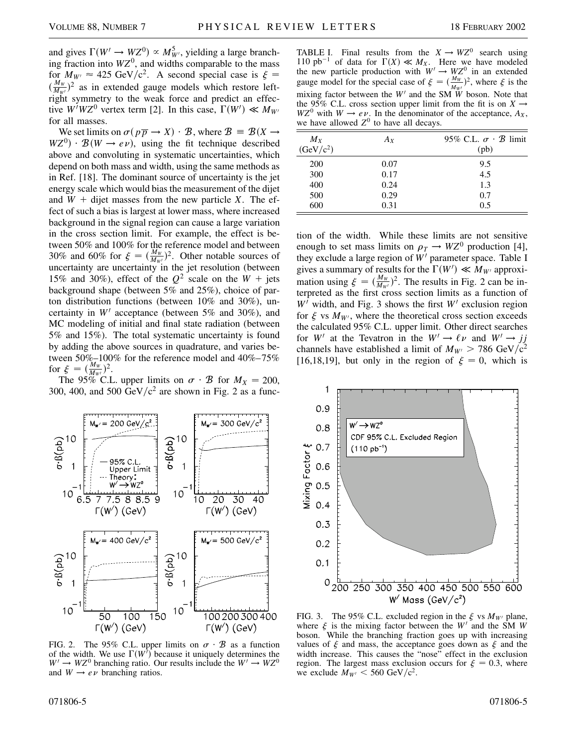and gives  $\Gamma(W' \to WZ^0) \propto M_{W'}^5$ , yielding a large branching fraction into  $WZ<sup>0</sup>$ , and widths comparable to the mass for  $M_{W'} \approx 425 \text{ GeV}/c^2$ . A second special case is  $\xi =$  $(\frac{M_W}{M_W})^2$  as in extended gauge models which restore leftright symmetry to the weak force and predict an effective  $W/WZ^0$  vertex term [2]. In this case,  $\Gamma(W') \ll M_{W'}$ for all masses.

We set limits on  $\sigma(p\overline{p} \to X) \cdot \mathcal{B}$ , where  $\mathcal{B} = \mathcal{B}(X \to Y)$  $WZ^{0}$   $\cdot$   $B(W \rightarrow e\nu)$ , using the fit technique described above and convoluting in systematic uncertainties, which depend on both mass and width, using the same methods as in Ref. [18]. The dominant source of uncertainty is the jet energy scale which would bias the measurement of the dijet and  $W +$  dijet masses from the new particle *X*. The effect of such a bias is largest at lower mass, where increased background in the signal region can cause a large variation in the cross section limit. For example, the effect is between 50% and 100% for the reference model and between 30% and 60% for  $\xi = (\frac{M_W}{M_{W'}})^2$ . Other notable sources of uncertainty are uncertainty in the jet resolution (between 15% and 30%), effect of the  $Q^2$  scale on the  $W$  + jets background shape (between 5% and 25%), choice of parton distribution functions (between 10% and 30%), uncertainty in  $W<sup>1</sup>$  acceptance (between 5% and 30%), and MC modeling of initial and final state radiation (between 5% and 15%). The total systematic uncertainty is found by adding the above sources in quadrature, and varies between 50%–100% for the reference model and 40%–75% for  $\xi = (\frac{M_W}{M_{W'}})^2$ .

The 95% C.L. upper limits on  $\sigma \cdot \mathcal{B}$  for  $M_X = 200$ , 300, 400, and 500 GeV/ $c<sup>2</sup>$  are shown in Fig. 2 as a func-



FIG. 2. The 95% C.L. upper limits on  $\sigma \cdot \mathcal{B}$  as a function of the width. We use  $\Gamma(W^{\dagger})$  because it uniquely determines the  $W' \rightarrow WZ^0$  branching ratio. Our results include the  $W' \rightarrow WZ^0$ and  $W \rightarrow e \nu$  branching ratios.

| $M_X$<br>(GeV/c <sup>2</sup> ) | $A_X$ | 95% C.L. $\sigma \cdot \mathcal{B}$ limit<br>(pb) |
|--------------------------------|-------|---------------------------------------------------|
| 200                            | 0.07  | 9.5                                               |
| 300                            | 0.17  | 4.5                                               |
| 400                            | 0.24  | 1.3                                               |
| 500                            | 0.29  | 0.7                                               |
| 600                            | 0.31  | 0.5                                               |

tion of the width. While these limits are not sensitive enough to set mass limits on  $\rho_T \to WZ^0$  production [4], they exclude a large region of  $W'$  parameter space. Table I gives a summary of results for the  $\Gamma(W') \ll M_{W'}$  approximation using  $\xi = (\frac{M_w}{M_{w'}})^2$ . The results in Fig. 2 can be interpreted as the first cross section limits as a function of  $W'$  width, and Fig. 3 shows the first  $W'$  exclusion region for  $\xi$  vs  $M_{W}$ , where the theoretical cross section exceeds the calculated 95% C.L. upper limit. Other direct searches for *W'* at the Tevatron in the  $W' \rightarrow \ell \nu$  and  $W' \rightarrow jj$ channels have established a limit of  $M_{W} > 786$  GeV/c<sup>2</sup> [16,18,19], but only in the region of  $\xi = 0$ , which is



FIG. 3. The 95% C.L. excluded region in the  $\xi$  vs  $M_{W}$  plane, where  $\xi$  is the mixing factor between the  $W'$  and the  $\hat{S}M$  *W* boson. While the branching fraction goes up with increasing values of  $\xi$  and mass, the acceptance goes down as  $\xi$  and the width increase. This causes the "nose" effect in the exclusion region. The largest mass exclusion occurs for  $\xi = 0.3$ , where we exclude  $M_{W'} < 560 \text{ GeV}/c^2$ .